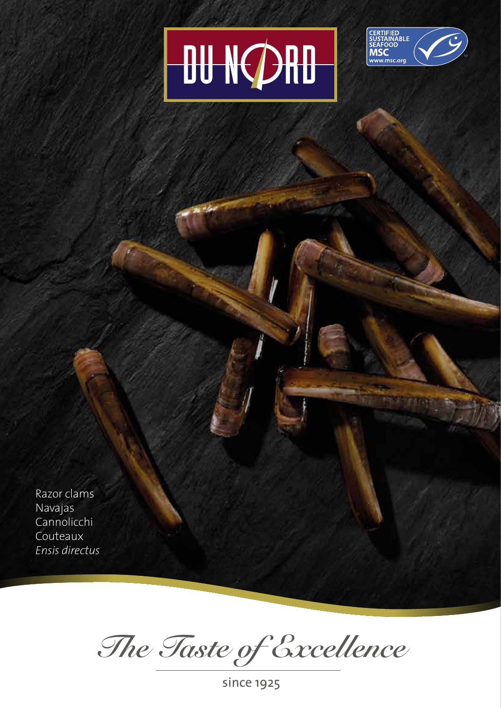## **OU NORD**



Razor clams Navajas **Cannolicchi** Couteaux *Ensis directus*

*The Taste of Excellence*

since 1925